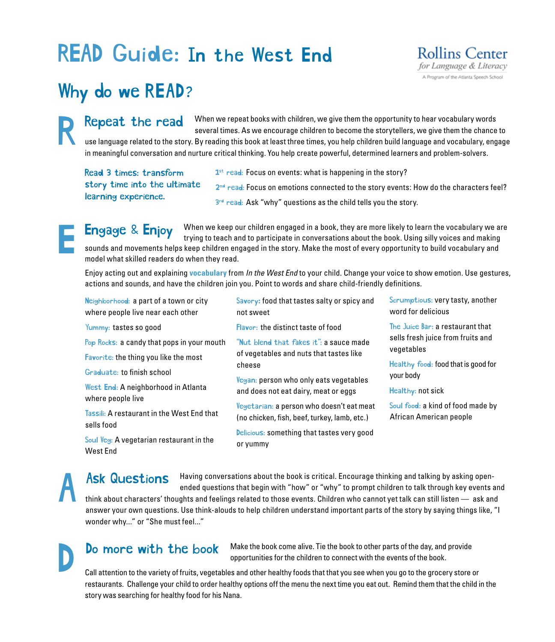# READ Guide: In the West End



## Why do we READ?

When we repeat books with children, we give them the opportunity to hear vocabulary words several times. As we encourage children to become the storytellers, we give them the chance to use language related to the story. By reading this book at least three times, you help children build language and vocabulary, engage in meaningful conversation and nurture critical thinking. You help create powerful, determined learners and problem-solvers. Repeat the read

Read 3 times: transform story time into the ultimate learning experience.

 $1<sup>st</sup>$  read: Focus on events: what is happening in the story? 2<sup>nd</sup> read: Focus on emotions connected to the story events: How do the characters feel? 3<sup>rd</sup> read: Ask "why" questions as the child tells you the story.

When we keep our children engaged in a book, they are more likely to learn the vocabulary we are trying to teach and to participate in conversations about the book. Using silly voices and making sounds and movements helps keep children engaged in the story. Make the most of every opportunity to build vocabulary and model what skilled readers do when they read. **Engage & Enjoy** 

Enjoy acting out and explaining **vocabulary** from *In the West End* to your child. Change your voice to show emotion. Use gestures, actions and sounds, and have the children join you. Point to words and share child-friendly definitions.

| Neighborhood: a part of a town or city<br>where people live near each other | Savory: food that tastes salty or spicy and<br>not sweet                                                                                            | Scrumptious: very tasty, another<br>word for delicious                                                                                  |
|-----------------------------------------------------------------------------|-----------------------------------------------------------------------------------------------------------------------------------------------------|-----------------------------------------------------------------------------------------------------------------------------------------|
| Yummy: tastes so good                                                       | Flavor: the distinct taste of food<br>"Nut blend that fakes it": a sauce made<br>of vegetables and nuts that tastes like<br>cheese                  | The Juice Bar: a restaurant that<br>sells fresh juice from fruits and<br>vegetables<br>Healthy food: food that is good for<br>your body |
| Pop Rocks: a candy that pops in your mouth                                  |                                                                                                                                                     |                                                                                                                                         |
| <b>Favorite:</b> the thing you like the most                                |                                                                                                                                                     |                                                                                                                                         |
| Graduate: to finish school                                                  |                                                                                                                                                     |                                                                                                                                         |
| West End: A neighborhood in Atlanta<br>where people live                    | Vegan: person who only eats vegetables<br>and does not eat dairy, meat or eggs                                                                      | Healthy: not sick                                                                                                                       |
| Tassili: A restaurant in the West End that                                  | Vegetarian: a person who doesn't eat meat<br>(no chicken, fish, beef, turkey, lamb, etc.)<br>Delicious: something that tastes very good<br>or yummy | Soul food: a kind of food made by<br>African American people                                                                            |
| sells food                                                                  |                                                                                                                                                     |                                                                                                                                         |
| Soul Veg: A vegetarian restaurant in the<br>West End                        |                                                                                                                                                     |                                                                                                                                         |

#### Having conversations about the book is critical. Encourage thinking and talking by asking openended questions that begin with "how" or "why" to prompt children to talk through key events and think about characters' thoughts and feelings related to those events. Children who cannot yet talk can still listen — ask and answer your own questions. Use think-alouds to help children understand important parts of the story by saying things like, "I wonder why..." or "She must feel..." Ask Questions

### Do more with the book

Make the book come alive. Tie the book to other parts of the day, and provide opportunities for the children to connect with the events of the book.

Call attention to the variety of fruits, vegetables and other healthy foods that that you see when you go to the grocery store or restaurants. Challenge your child to order healthy options off the menu the next time you eat out. Remind them that the child in the story was searching for healthy food for his Nana.